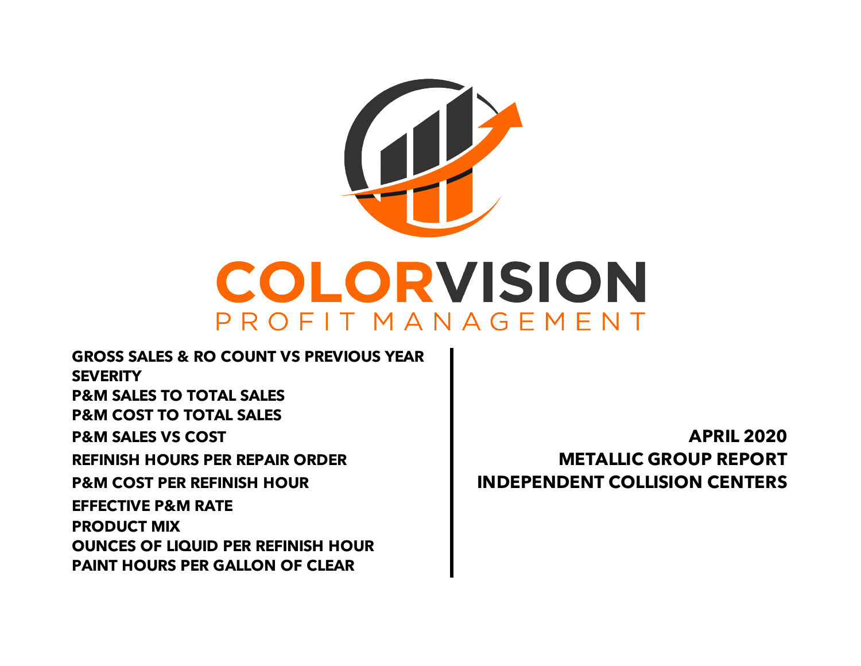

**GROSS SALES & RO COUNT VS PREVIOUS YEAR SEVERITY P&M SALES TO TOTAL SALES P&M COST TO TOTAL SALES P&M SALES VS COST APRIL 2020 REFINISH HOURS PER REPAIR ORDER METALLIC GROUP REPORT P&M COST PER REFINISH HOUR INDEPENDENT COLLISION CENTERS PAINT HOURS PER GALLON OF CLEAR EFFECTIVE P&M RATE PRODUCT MIX OUNCES OF LIQUID PER REFINISH HOUR**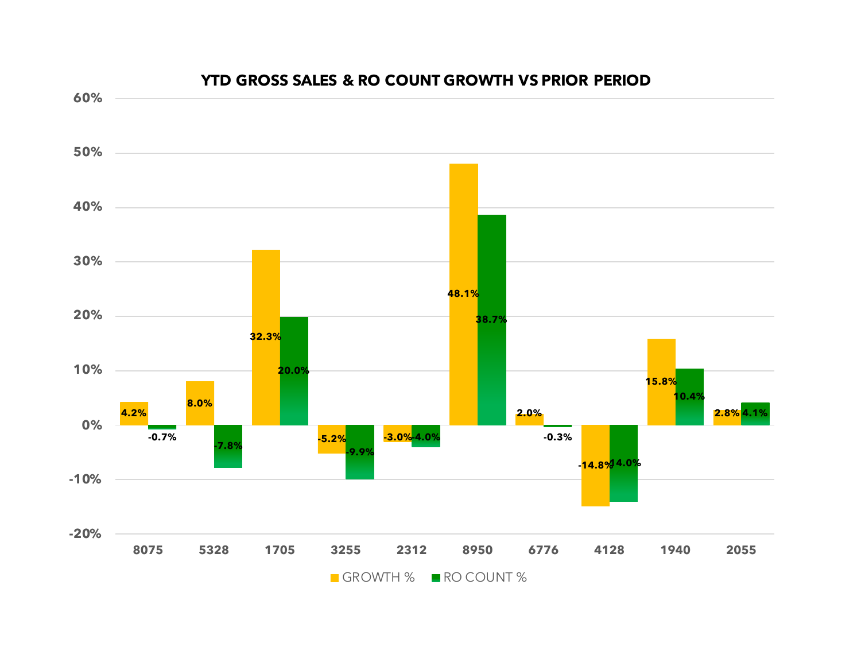

#### **YTD GROSS SALES & RO COUNT GROWTH VS PRIOR PERIOD**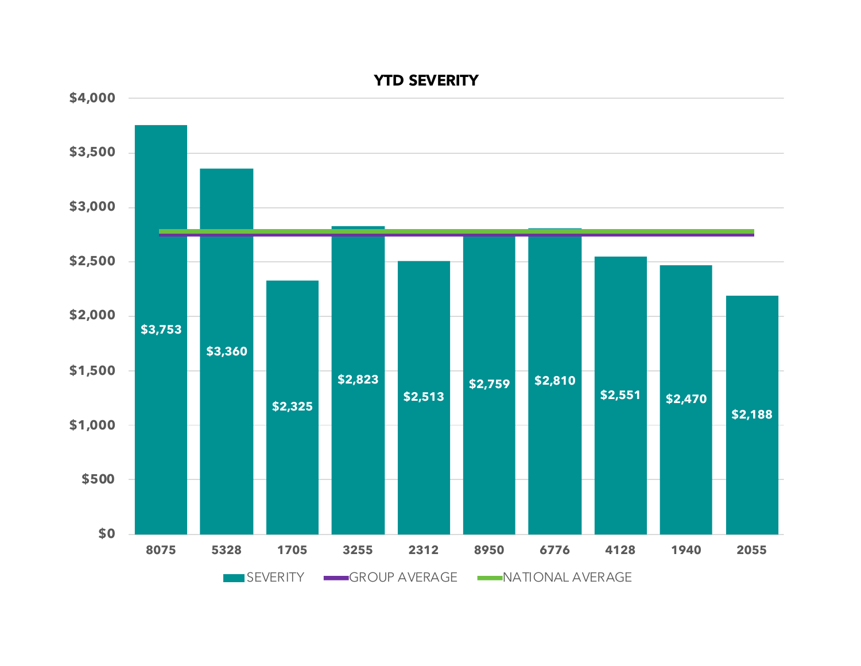

**YTD SEVERITY**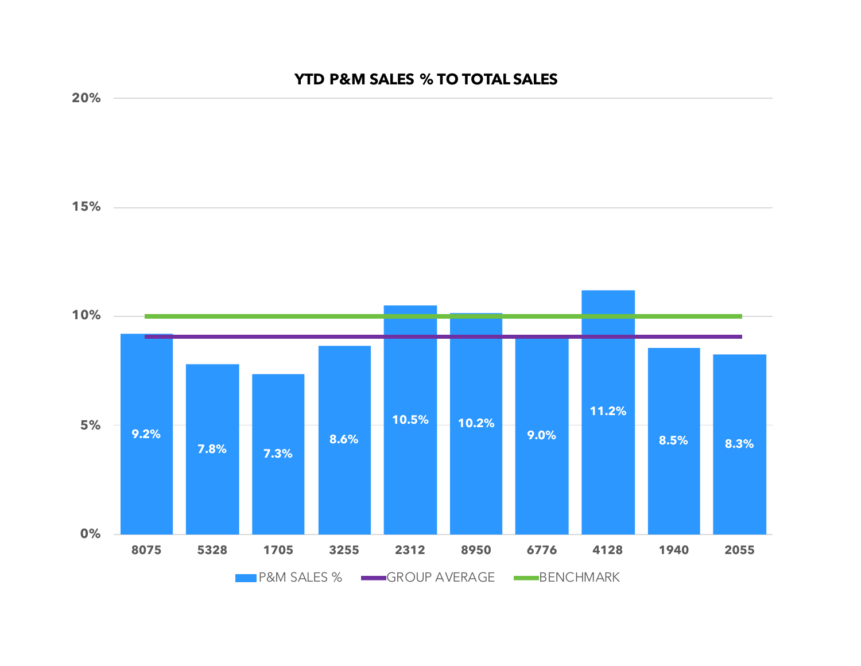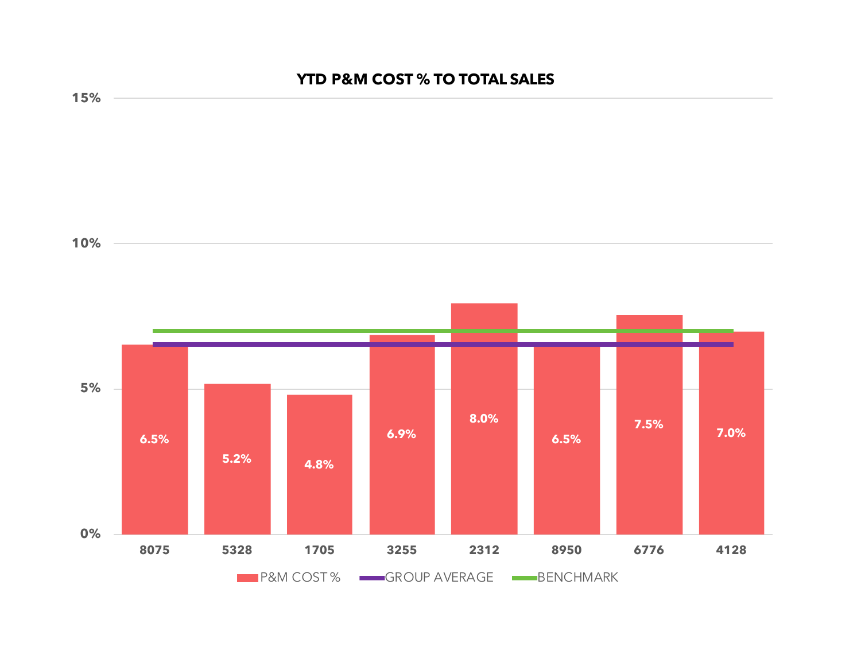# **YTD P&M COST % TO TOTAL SALES**

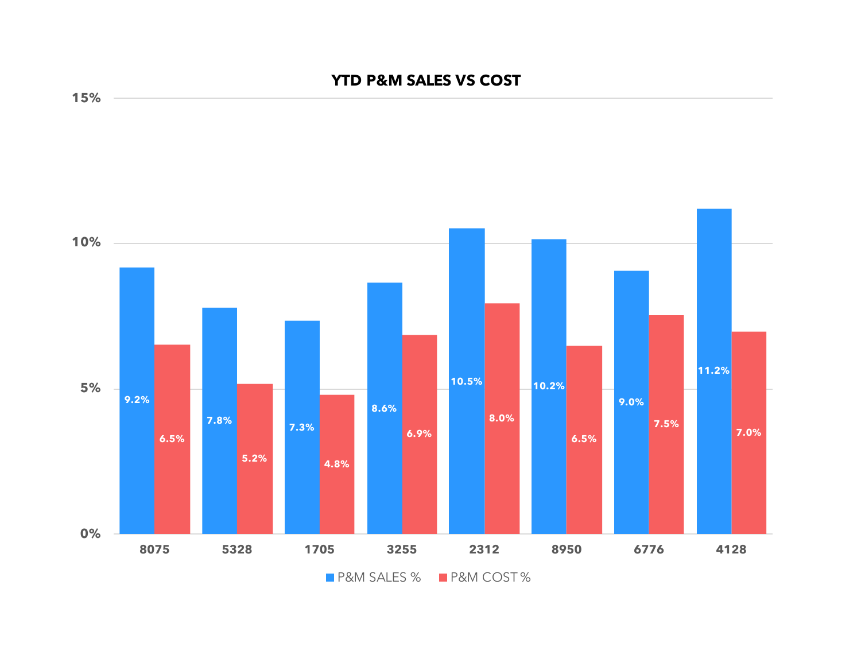## **YTD P&M SALES VS COST**



**15%**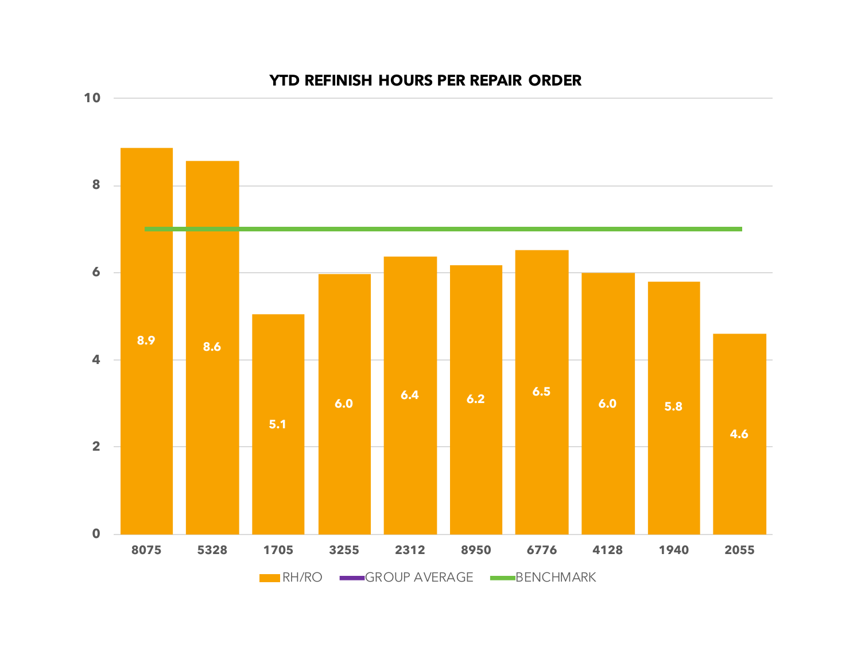

### **YTD REFINISH HOURS PER REPAIR ORDER**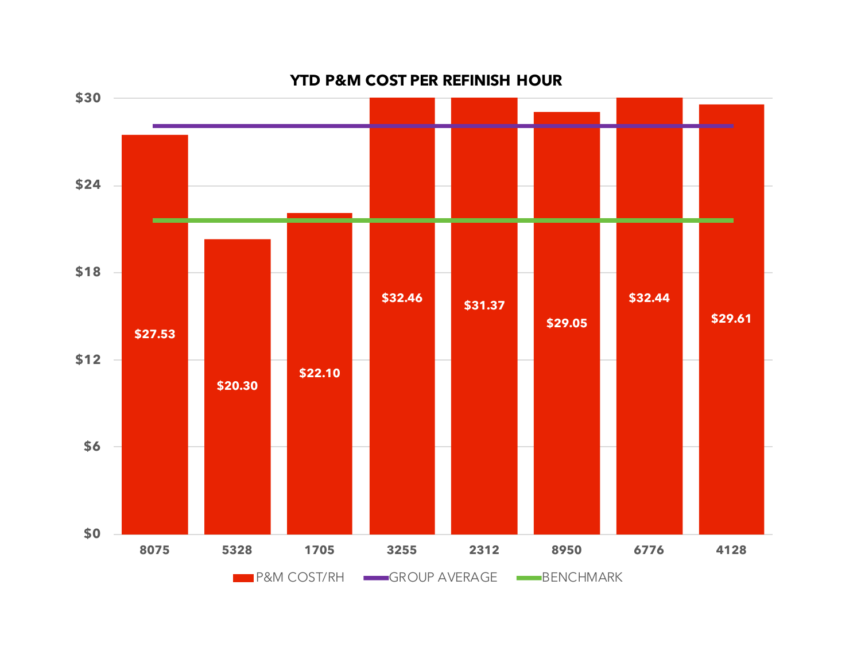

#### **YTD P&M COST PER REFINISH HOUR**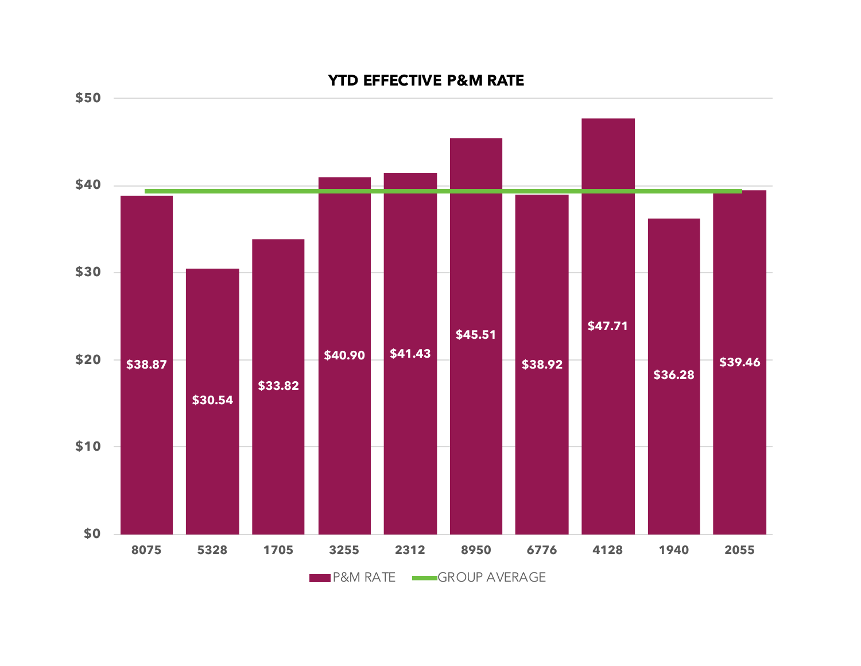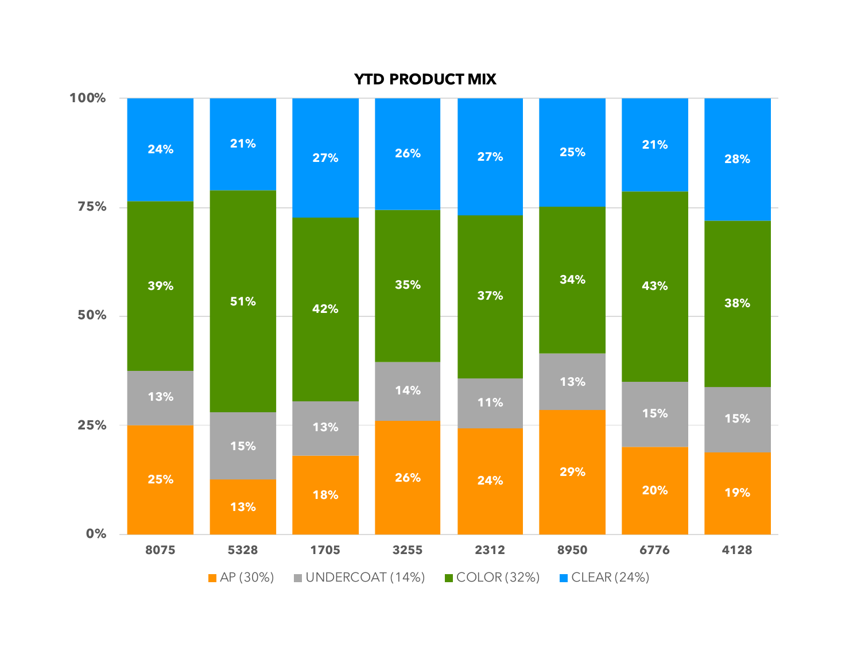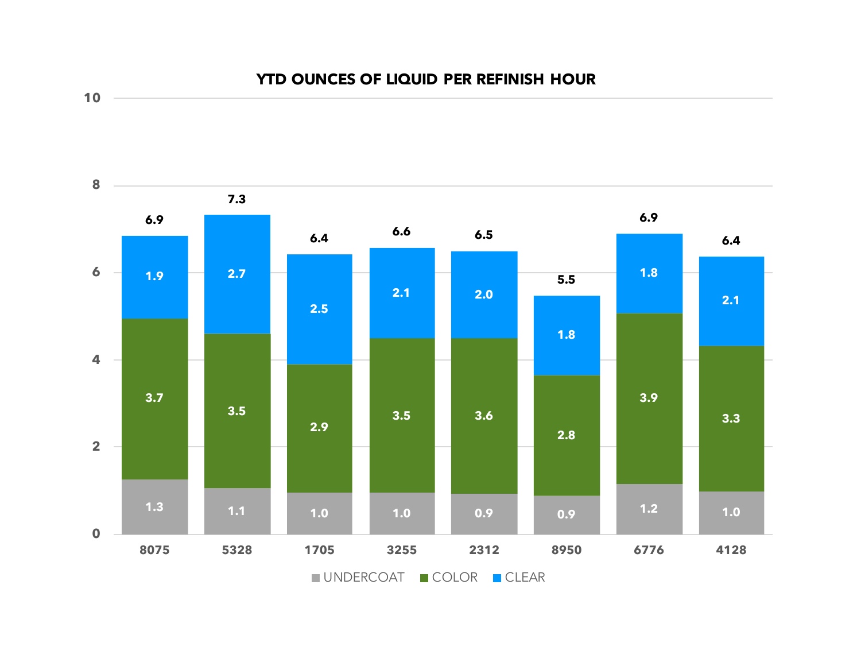



**10**